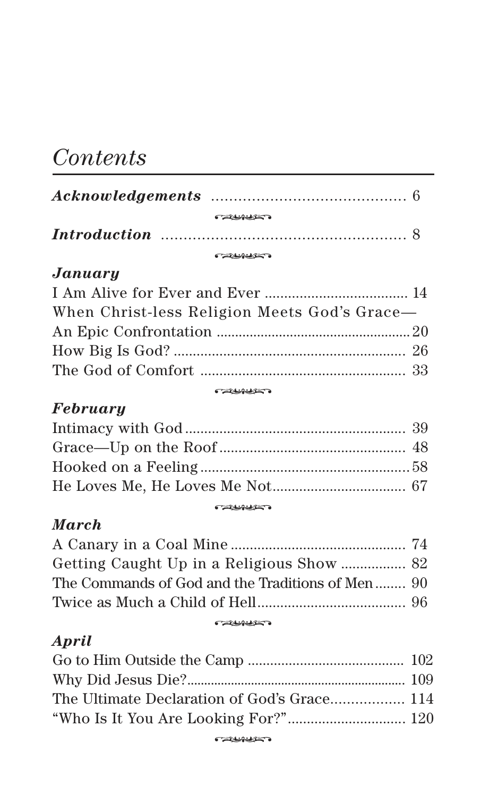# *Contents*

| <b>CONSCIENCE</b> |  |
|-------------------|--|
|                   |  |
|                   |  |

# $January$

| When Christ-less Religion Meets God's Grace— |  |
|----------------------------------------------|--|
|                                              |  |
|                                              |  |
|                                              |  |
| $\overbrace{\phantom{xxxxx}}$                |  |

### **CALIFORNIA DE**

# *February*

| <b>CALLBURY O</b> |  |
|-------------------|--|

# *March*

| The Commands of God and the Traditions of Men  90 |  |
|---------------------------------------------------|--|
|                                                   |  |
| <b>CALLSURE OF</b>                                |  |

## *April*

| The Ultimate Declaration of God's Grace 114 |  |
|---------------------------------------------|--|
|                                             |  |
| <b>CALLENDATE</b>                           |  |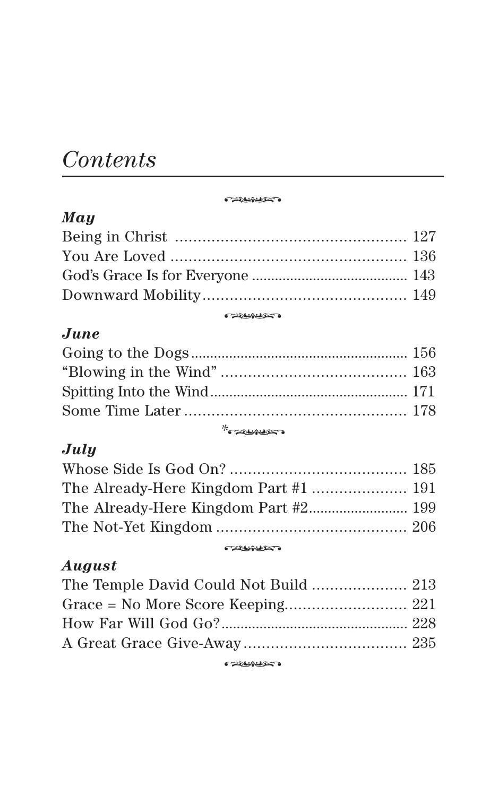# *Contents*

*May* -**Catholics** 

| <b>CALLINGTO</b> |  |
|------------------|--|

**Catholics** 

# *June*

| $*$ $\sim$ $\sim$ $\sim$ $\sim$ $\sim$ $\sim$ |  |
|-----------------------------------------------|--|

# *July*

| <b>CALLBURGER</b> |  |
|-------------------|--|

### **Catholics**

# *August*

| <b>CALLBURY OF</b> |  |
|--------------------|--|